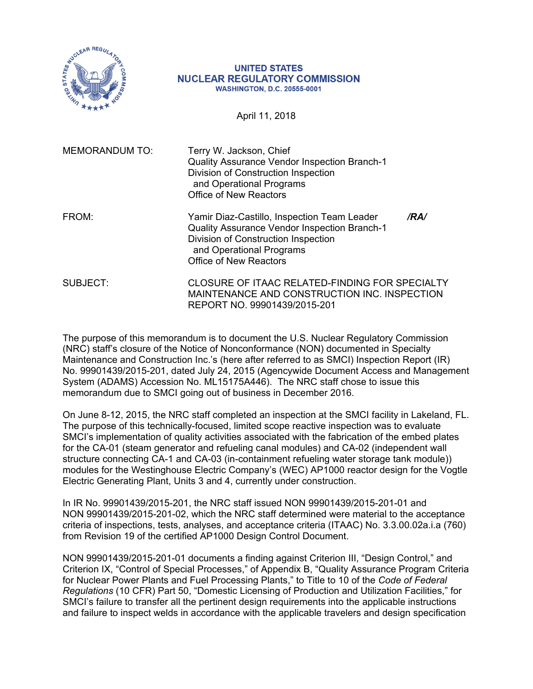

#### **UNITED STATES NUCLEAR REGULATORY COMMISSION WASHINGTON, D.C. 20555-0001**

April 11, 2018

| <b>MEMORANDUM TO:</b> | Terry W. Jackson, Chief<br>Quality Assurance Vendor Inspection Branch-1<br>Division of Construction Inspection<br>and Operational Programs<br>Office of New Reactors                                   |      |
|-----------------------|--------------------------------------------------------------------------------------------------------------------------------------------------------------------------------------------------------|------|
| FROM:                 | Yamir Diaz-Castillo, Inspection Team Leader<br><b>Quality Assurance Vendor Inspection Branch-1</b><br>Division of Construction Inspection<br>and Operational Programs<br><b>Office of New Reactors</b> | /RA/ |
| SUBJECT:              | CLOSURE OF ITAAC RELATED-FINDING FOR SPECIALTY<br>MAINTENANCE AND CONSTRUCTION INC. INSPECTION<br>REPORT NO. 99901439/2015-201                                                                         |      |

The purpose of this memorandum is to document the U.S. Nuclear Regulatory Commission (NRC) staff's closure of the Notice of Nonconformance (NON) documented in Specialty Maintenance and Construction Inc.'s (here after referred to as SMCI) Inspection Report (IR) No. 99901439/2015-201, dated July 24, 2015 (Agencywide Document Access and Management System (ADAMS) Accession No. ML15175A446). The NRC staff chose to issue this memorandum due to SMCI going out of business in December 2016.

On June 8-12, 2015, the NRC staff completed an inspection at the SMCI facility in Lakeland, FL. The purpose of this technically-focused, limited scope reactive inspection was to evaluate SMCI's implementation of quality activities associated with the fabrication of the embed plates for the CA-01 (steam generator and refueling canal modules) and CA-02 (independent wall structure connecting CA-1 and CA-03 (in-containment refueling water storage tank module)) modules for the Westinghouse Electric Company's (WEC) AP1000 reactor design for the Vogtle Electric Generating Plant, Units 3 and 4, currently under construction.

In IR No. 99901439/2015-201, the NRC staff issued NON 99901439/2015-201-01 and NON 99901439/2015-201-02, which the NRC staff determined were material to the acceptance criteria of inspections, tests, analyses, and acceptance criteria (ITAAC) No. 3.3.00.02a.i.a (760) from Revision 19 of the certified AP1000 Design Control Document.

NON 99901439/2015-201-01 documents a finding against Criterion III, "Design Control," and Criterion IX, "Control of Special Processes," of Appendix B, "Quality Assurance Program Criteria for Nuclear Power Plants and Fuel Processing Plants," to Title to 10 of the *Code of Federal Regulations* (10 CFR) Part 50, "Domestic Licensing of Production and Utilization Facilities," for SMCI's failure to transfer all the pertinent design requirements into the applicable instructions and failure to inspect welds in accordance with the applicable travelers and design specification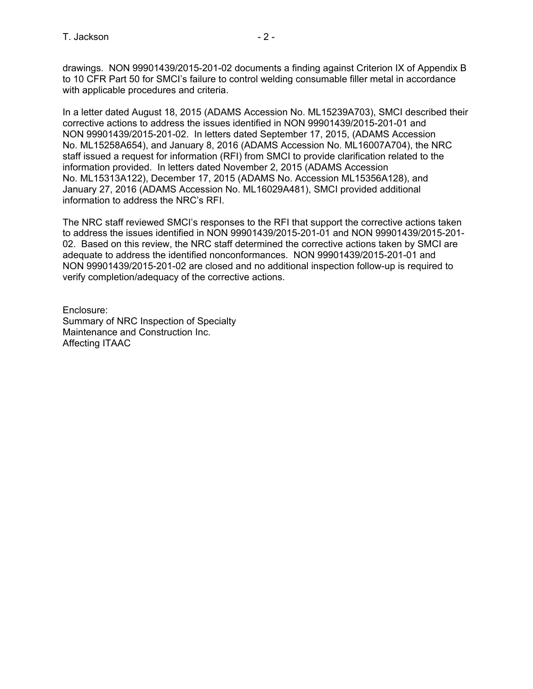drawings. NON 99901439/2015-201-02 documents a finding against Criterion IX of Appendix B to 10 CFR Part 50 for SMCI's failure to control welding consumable filler metal in accordance with applicable procedures and criteria.

In a letter dated August 18, 2015 (ADAMS Accession No. ML15239A703), SMCI described their corrective actions to address the issues identified in NON 99901439/2015-201-01 and NON 99901439/2015-201-02. In letters dated September 17, 2015, (ADAMS Accession No. ML15258A654), and January 8, 2016 (ADAMS Accession No. ML16007A704), the NRC staff issued a request for information (RFI) from SMCI to provide clarification related to the information provided. In letters dated November 2, 2015 (ADAMS Accession No. ML15313A122), December 17, 2015 (ADAMS No. Accession ML15356A128), and January 27, 2016 (ADAMS Accession No. ML16029A481), SMCI provided additional information to address the NRC's RFI.

The NRC staff reviewed SMCI's responses to the RFI that support the corrective actions taken to address the issues identified in NON 99901439/2015-201-01 and NON 99901439/2015-201- 02. Based on this review, the NRC staff determined the corrective actions taken by SMCI are adequate to address the identified nonconformances. NON 99901439/2015-201-01 and NON 99901439/2015-201-02 are closed and no additional inspection follow-up is required to verify completion/adequacy of the corrective actions.

Enclosure: Summary of NRC Inspection of Specialty Maintenance and Construction Inc. Affecting ITAAC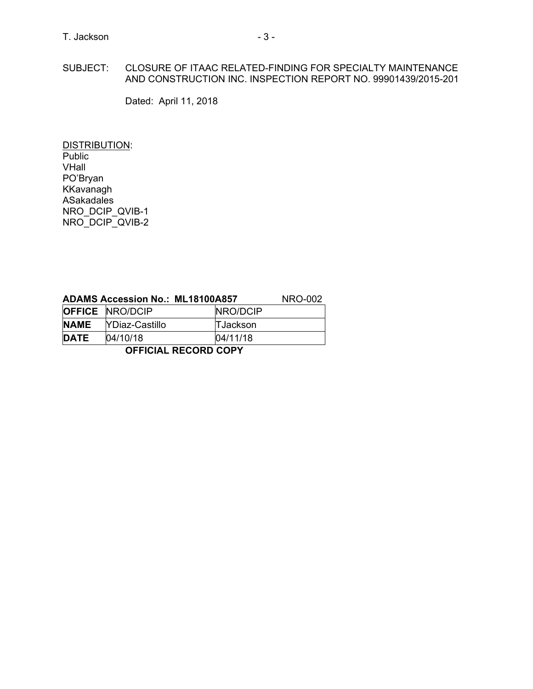## SUBJECT: CLOSURE OF ITAAC RELATED-FINDING FOR SPECIALTY MAINTENANCE AND CONSTRUCTION INC. INSPECTION REPORT NO. 99901439/2015-201

Dated: April 11, 2018

DISTRIBUTION: Public VHall PO'Bryan KKavanagh ASakadales NRO\_DCIP\_QVIB-1 NRO\_DCIP\_QVIB-2

| <b>ADAMS Accession No.: ML18100A857</b> | NRO-002                |                 |  |  |  |  |
|-----------------------------------------|------------------------|-----------------|--|--|--|--|
|                                         | <b>OFFICE NRO/DCIP</b> | NRO/DCIP        |  |  |  |  |
| <b>NAME</b>                             | <b>YDiaz-Castillo</b>  | <b>TJackson</b> |  |  |  |  |
| <b>DATE</b>                             | 04/10/18               | 04/11/18        |  |  |  |  |
| <b>OFFICIAL RECORD COPY</b>             |                        |                 |  |  |  |  |